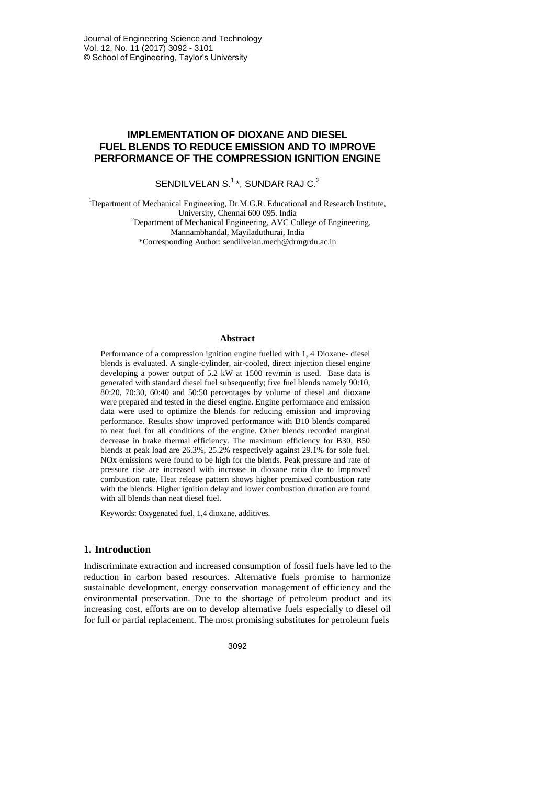# **IMPLEMENTATION OF DIOXANE AND DIESEL FUEL BLENDS TO REDUCE EMISSION AND TO IMPROVE PERFORMANCE OF THE COMPRESSION IGNITION ENGINE**

SENDILVELAN S. $1, *$ , SUNDAR RAJ C. $2$ 

<sup>1</sup>Department of Mechanical Engineering, Dr.M.G.R. Educational and Research Institute, University, Chennai 600 095. India  $2$ Department of Mechanical Engineering, AVC College of Engineering, Mannambhandal, Mayiladuthurai, India \*Corresponding Author: sendilvelan.mech@drmgrdu.ac.in

### **Abstract**

Performance of a compression ignition engine fuelled with 1, 4 Dioxane- diesel blends is evaluated. A single-cylinder, air-cooled, direct injection diesel engine developing a power output of 5.2 kW at 1500 rev/min is used. Base data is generated with standard diesel fuel subsequently; five fuel blends namely 90:10, 80:20, 70:30, 60:40 and 50:50 percentages by volume of diesel and dioxane were prepared and tested in the diesel engine. Engine performance and emission data were used to optimize the blends for reducing emission and improving performance. Results show improved performance with B10 blends compared to neat fuel for all conditions of the engine. Other blends recorded marginal decrease in brake thermal efficiency. The maximum efficiency for B30, B50 blends at peak load are 26.3%, 25.2% respectively against 29.1% for sole fuel. NOx emissions were found to be high for the blends. Peak pressure and rate of pressure rise are increased with increase in dioxane ratio due to improved combustion rate. Heat release pattern shows higher premixed combustion rate with the blends. Higher ignition delay and lower combustion duration are found with all blends than neat diesel fuel.

Keywords: Oxygenated fuel, 1,4 dioxane, additives.

## **1. Introduction**

Indiscriminate extraction and increased consumption of fossil fuels have led to the reduction in carbon based resources. Alternative fuels promise to harmonize sustainable development, energy conservation management of efficiency and the environmental preservation. Due to the shortage of petroleum product and its increasing cost, efforts are on to develop alternative fuels especially to diesel oil for full or partial replacement. The most promising substitutes for petroleum fuels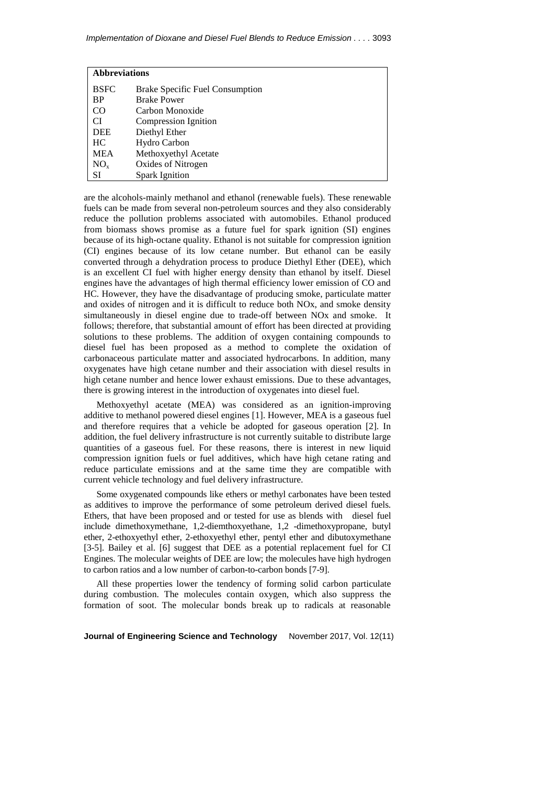| <b>Abbreviations</b> |                                        |
|----------------------|----------------------------------------|
| <b>BSFC</b>          | <b>Brake Specific Fuel Consumption</b> |
| <b>BP</b>            | <b>Brake Power</b>                     |
| CO                   | Carbon Monoxide                        |
| CI                   | Compression Ignition                   |
| <b>DEE</b>           | Diethyl Ether                          |
| HC.                  | Hydro Carbon                           |
| <b>MEA</b>           | Methoxyethyl Acetate                   |
| $NO_{x}$             | Oxides of Nitrogen                     |
| <b>SI</b>            | <b>Spark Ignition</b>                  |

are the alcohols-mainly methanol and ethanol (renewable fuels). These renewable fuels can be made from several non-petroleum sources and they also considerably reduce the pollution problems associated with automobiles. Ethanol produced from biomass shows promise as a future fuel for spark ignition (SI) engines because of its high-octane quality. Ethanol is not suitable for compression ignition (CI) engines because of its low cetane number. But ethanol can be easily converted through a dehydration process to produce Diethyl Ether (DEE), which is an excellent CI fuel with higher energy density than ethanol by itself. Diesel engines have the advantages of high thermal efficiency lower emission of CO and HC. However, they have the disadvantage of producing smoke, particulate matter and oxides of nitrogen and it is difficult to reduce both NOx, and smoke density simultaneously in diesel engine due to trade-off between NOx and smoke. It follows; therefore, that substantial amount of effort has been directed at providing solutions to these problems. The addition of oxygen containing compounds to diesel fuel has been proposed as a method to complete the oxidation of carbonaceous particulate matter and associated hydrocarbons. In addition, many oxygenates have high cetane number and their association with diesel results in high cetane number and hence lower exhaust emissions. Due to these advantages, there is growing interest in the introduction of oxygenates into diesel fuel.

Methoxyethyl acetate (MEA) was considered as an ignition-improving additive to methanol powered diesel engines [1]. However, MEA is a gaseous fuel and therefore requires that a vehicle be adopted for gaseous operation [2]. In addition, the fuel delivery infrastructure is not currently suitable to distribute large quantities of a gaseous fuel. For these reasons, there is interest in new liquid compression ignition fuels or fuel additives, which have high cetane rating and reduce particulate emissions and at the same time they are compatible with current vehicle technology and fuel delivery infrastructure.

Some oxygenated compounds like ethers or methyl carbonates have been tested as additives to improve the performance of some petroleum derived diesel fuels. Ethers, that have been proposed and or tested for use as blends with diesel fuel include dimethoxymethane, 1,2-diemthoxyethane, 1,2 -dimethoxypropane, butyl ether, 2-ethoxyethyl ether, 2-ethoxyethyl ether, pentyl ether and dibutoxymethane [3-5]. Bailey et al. [6] suggest that DEE as a potential replacement fuel for CI Engines. The molecular weights of DEE are low; the molecules have high hydrogen to carbon ratios and a low number of carbon-to-carbon bonds [7-9].

All these properties lower the tendency of forming solid carbon particulate during combustion. The molecules contain oxygen, which also suppress the formation of soot. The molecular bonds break up to radicals at reasonable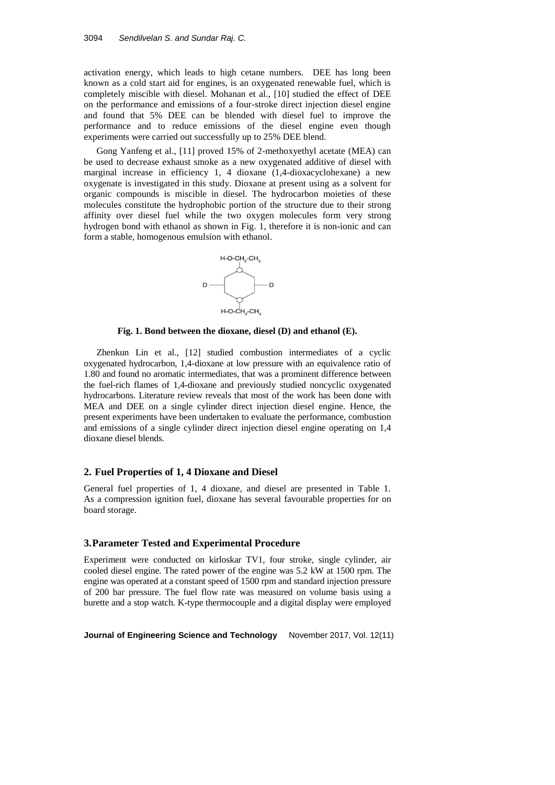activation energy, which leads to high cetane numbers. DEE has long been known as a cold start aid for engines, is an oxygenated renewable fuel, which is completely miscible with diesel. Mohanan et al., [10] studied the effect of DEE on the performance and emissions of a four-stroke direct injection diesel engine and found that 5% DEE can be blended with diesel fuel to improve the performance and to reduce emissions of the diesel engine even though experiments were carried out successfully up to 25% DEE blend.

Gong Yanfeng et al., [11] proved 15% of 2-methoxyethyl acetate (MEA) can be used to decrease exhaust smoke as a new oxygenated additive of diesel with marginal increase in efficiency 1, 4 dioxane (1,4-dioxacyclohexane) a new oxygenate is investigated in this study. Dioxane at present using as a solvent for organic compounds is miscible in diesel. The hydrocarbon moieties of these molecules constitute the hydrophobic portion of the structure due to their strong affinity over diesel fuel while the two oxygen molecules form very strong hydrogen bond with ethanol as shown in Fig. 1, therefore it is non-ionic and can form a stable, homogenous emulsion with ethanol.



**Fig. 1. Bond between the dioxane, diesel (D) and ethanol (E).**

Zhenkun Lin et al., [12] studied combustion intermediates of a cyclic oxygenated hydrocarbon, 1,4-dioxane at low pressure with an equivalence ratio of 1.80 and found no aromatic intermediates, that was a prominent difference between the fuel-rich flames of 1,4-dioxane and previously studied noncyclic oxygenated hydrocarbons. Literature review reveals that most of the work has been done with MEA and DEE on a single cylinder direct injection diesel engine. Hence, the present experiments have been undertaken to evaluate the performance, combustion and emissions of a single cylinder direct injection diesel engine operating on 1,4 dioxane diesel blends.

### **2. Fuel Properties of 1, 4 Dioxane and Diesel**

General fuel properties of 1, 4 dioxane, and diesel are presented in Table 1. As a compression ignition fuel, dioxane has several favourable properties for on board storage.

## **3.Parameter Tested and Experimental Procedure**

Experiment were conducted on kirloskar TV1, four stroke, single cylinder, air cooled diesel engine. The rated power of the engine was 5.2 kW at 1500 rpm. The engine was operated at a constant speed of 1500 rpm and standard injection pressure of 200 bar pressure. The fuel flow rate was measured on volume basis using a burette and a stop watch. K-type thermocouple and a digital display were employed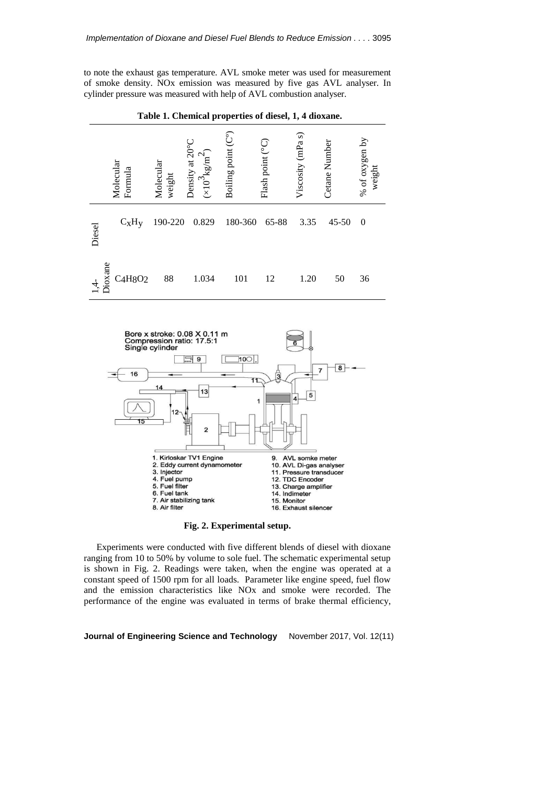to note the exhaust gas temperature. AVL smoke meter was used for measurement of smoke density. NOx emission was measured by five gas AVL analyser. In cylinder pressure was measured with help of AVL combustion analyser.



**Table 1. Chemical properties of diesel, 1, 4 dioxane.**



**Fig. 2. Experimental setup.**

Experiments were conducted with five different blends of diesel with dioxane ranging from 10 to 50% by volume to sole fuel. The schematic experimental setup is shown in Fig. 2. Readings were taken, when the engine was operated at a constant speed of 1500 rpm for all loads. Parameter like engine speed, fuel flow and the emission characteristics like NOx and smoke were recorded. The performance of the engine was evaluated in terms of brake thermal efficiency,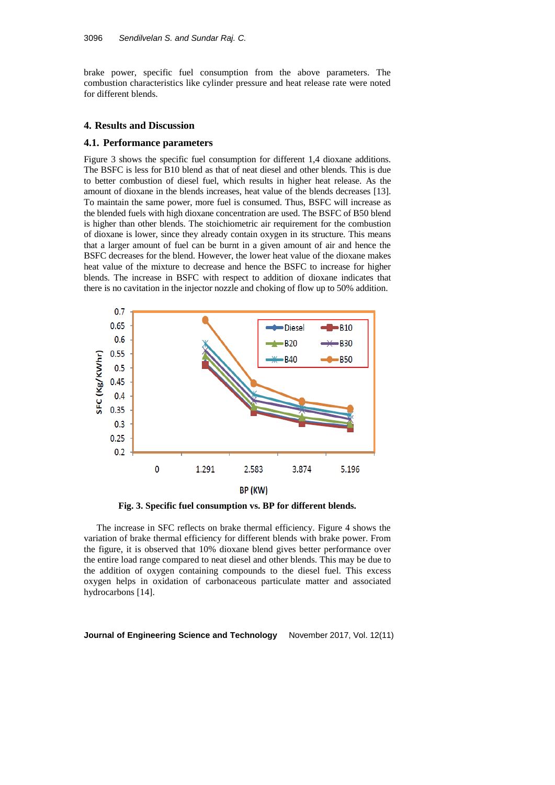brake power, specific fuel consumption from the above parameters. The combustion characteristics like cylinder pressure and heat release rate were noted for different blends.

### **4. Results and Discussion**

## **4.1. Performance parameters**

Figure 3 shows the specific fuel consumption for different 1,4 dioxane additions. The BSFC is less for B10 blend as that of neat diesel and other blends. This is due to better combustion of diesel fuel, which results in higher heat release. As the amount of dioxane in the blends increases, heat value of the blends decreases [13]. To maintain the same power, more fuel is consumed. Thus, BSFC will increase as the blended fuels with high dioxane concentration are used. The BSFC of B50 blend is higher than other blends. The stoichiometric air requirement for the combustion of dioxane is lower, since they already contain oxygen in its structure. This means that a larger amount of fuel can be burnt in a given amount of air and hence the BSFC decreases for the blend. However, the lower heat value of the dioxane makes heat value of the mixture to decrease and hence the BSFC to increase for higher blends. The increase in BSFC with respect to addition of dioxane indicates that there is no cavitation in the injector nozzle and choking of flow up to 50% addition.



**Fig. 3. Specific fuel consumption vs. BP for different blends.**

The increase in SFC reflects on brake thermal efficiency. Figure 4 shows the variation of brake thermal efficiency for different blends with brake power. From the figure, it is observed that 10% dioxane blend gives better performance over the entire load range compared to neat diesel and other blends. This may be due to the addition of oxygen containing compounds to the diesel fuel. This excess oxygen helps in oxidation of carbonaceous particulate matter and associated hydrocarbons [14].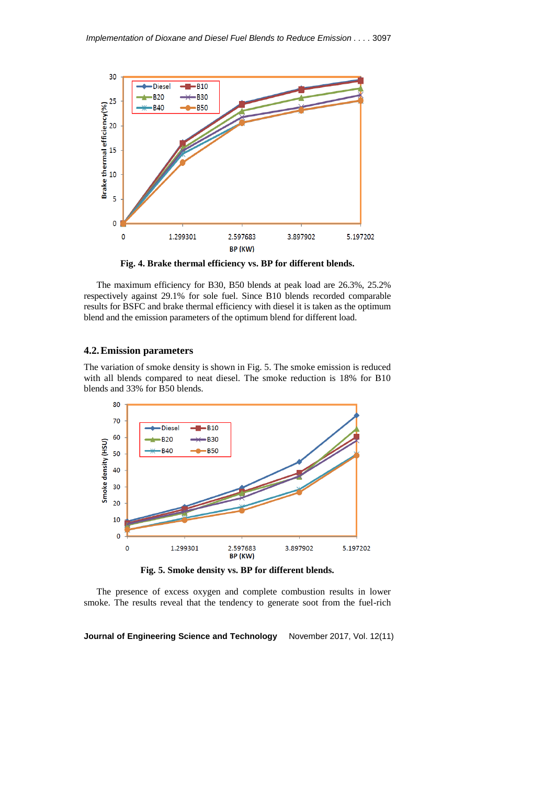

**Fig. 4. Brake thermal efficiency vs. BP for different blends.**

The maximum efficiency for B30, B50 blends at peak load are 26.3%, 25.2% respectively against 29.1% for sole fuel. Since B10 blends recorded comparable results for BSFC and brake thermal efficiency with diesel it is taken as the optimum blend and the emission parameters of the optimum blend for different load.

# **4.2.Emission parameters**

The variation of smoke density is shown in Fig. 5. The smoke emission is reduced with all blends compared to neat diesel. The smoke reduction is 18% for B10 blends and 33% for B50 blends.



**Fig. 5. Smoke density vs. BP for different blends.**

The presence of excess oxygen and complete combustion results in lower smoke. The results reveal that the tendency to generate soot from the fuel-rich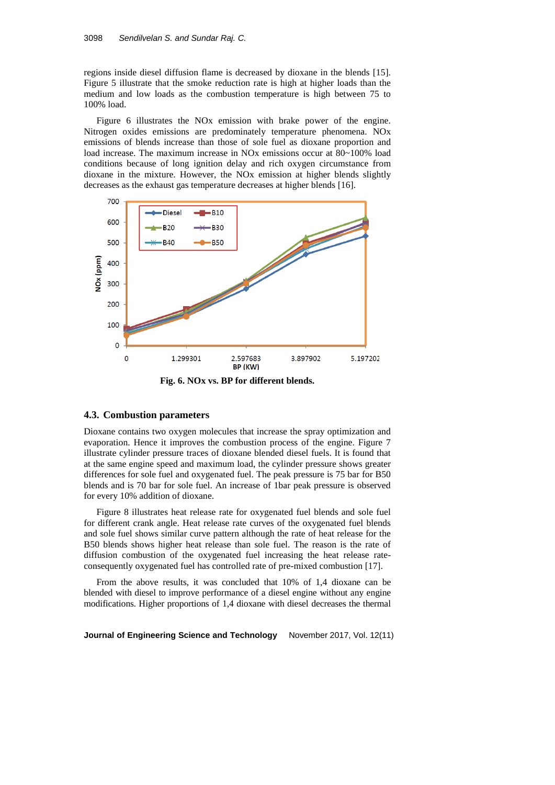regions inside diesel diffusion flame is decreased by dioxane in the blends [15]. Figure 5 illustrate that the smoke reduction rate is high at higher loads than the medium and low loads as the combustion temperature is high between 75 to 100% load.

Figure 6 illustrates the NOx emission with brake power of the engine. Nitrogen oxides emissions are predominately temperature phenomena. NOx emissions of blends increase than those of sole fuel as dioxane proportion and load increase. The maximum increase in NOx emissions occur at 80~100% load conditions because of long ignition delay and rich oxygen circumstance from dioxane in the mixture. However, the NOx emission at higher blends slightly decreases as the exhaust gas temperature decreases at higher blends [16].



**Fig. 6. NOx vs. BP for different blends.**

## **4.3. Combustion parameters**

Dioxane contains two oxygen molecules that increase the spray optimization and evaporation. Hence it improves the combustion process of the engine. Figure 7 illustrate cylinder pressure traces of dioxane blended diesel fuels. It is found that at the same engine speed and maximum load, the cylinder pressure shows greater differences for sole fuel and oxygenated fuel. The peak pressure is 75 bar for B50 blends and is 70 bar for sole fuel. An increase of 1bar peak pressure is observed for every 10% addition of dioxane.

Figure 8 illustrates heat release rate for oxygenated fuel blends and sole fuel for different crank angle. Heat release rate curves of the oxygenated fuel blends and sole fuel shows similar curve pattern although the rate of heat release for the B50 blends shows higher heat release than sole fuel. The reason is the rate of diffusion combustion of the oxygenated fuel increasing the heat release rateconsequently oxygenated fuel has controlled rate of pre-mixed combustion [17].

From the above results, it was concluded that 10% of 1,4 dioxane can be blended with diesel to improve performance of a diesel engine without any engine modifications. Higher proportions of 1,4 dioxane with diesel decreases the thermal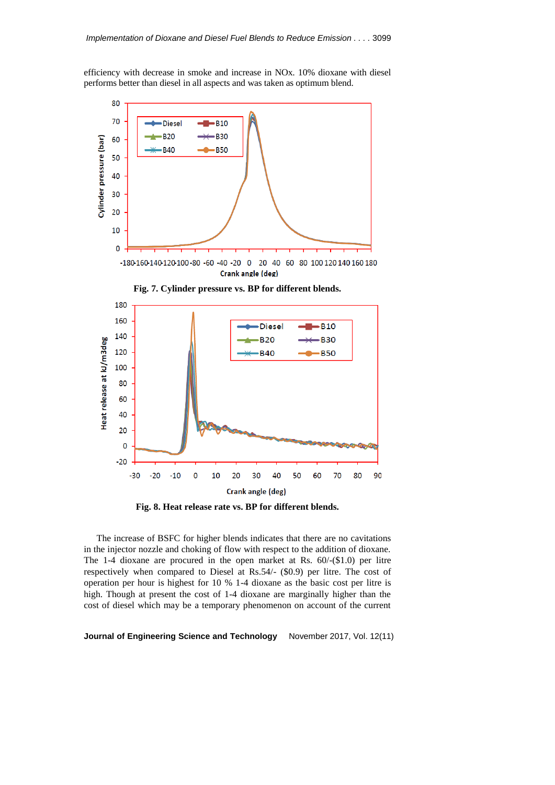efficiency with decrease in smoke and increase in NOx. 10% dioxane with diesel performs better than diesel in all aspects and was taken as optimum blend.



 $-20$  $-10$  $\mathbf 0$ 10 20 40 50  $-30$ 30 60 70 80 Crank angle (deg)

90

**Fig. 8. Heat release rate vs. BP for different blends.**

 $-20$ 

The increase of BSFC for higher blends indicates that there are no cavitations in the injector nozzle and choking of flow with respect to the addition of dioxane. The 1-4 dioxane are procured in the open market at Rs. 60/-(\$1.0) per litre respectively when compared to Diesel at Rs.54/- (\$0.9) per litre. The cost of operation per hour is highest for 10 % 1-4 dioxane as the basic cost per litre is high. Though at present the cost of 1-4 dioxane are marginally higher than the cost of diesel which may be a temporary phenomenon on account of the current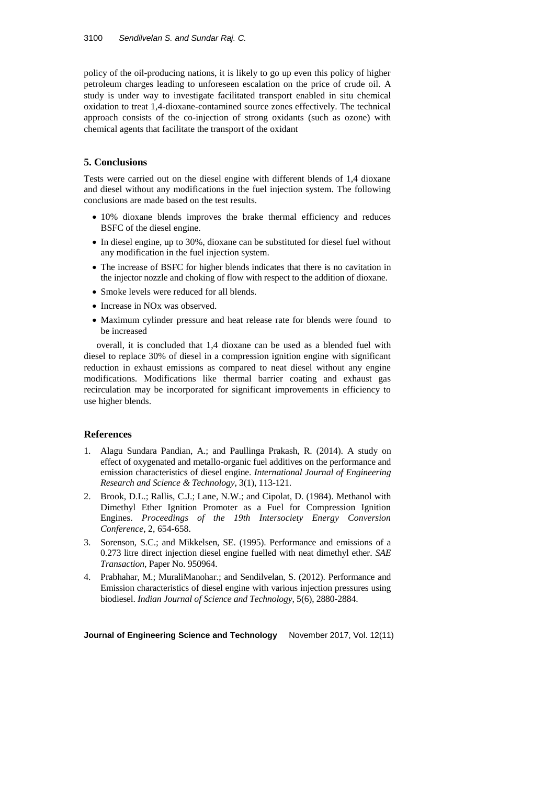policy of the oil-producing nations, it is likely to go up even this policy of higher petroleum charges leading to unforeseen escalation on the price of crude oil. A study is under way to investigate facilitated transport enabled in situ chemical oxidation to treat 1,4-dioxane-contamined source zones effectively. The technical approach consists of the co-injection of strong oxidants (such as ozone) with chemical agents that facilitate the transport of the oxidant

# **5. Conclusions**

Tests were carried out on the diesel engine with different blends of 1,4 dioxane and diesel without any modifications in the fuel injection system. The following conclusions are made based on the test results.

- 10% dioxane blends improves the brake thermal efficiency and reduces BSFC of the diesel engine.
- In diesel engine, up to 30%, dioxane can be substituted for diesel fuel without any modification in the fuel injection system.
- The increase of BSFC for higher blends indicates that there is no cavitation in the injector nozzle and choking of flow with respect to the addition of dioxane.
- Smoke levels were reduced for all blends.
- Increase in NO<sub>x</sub> was observed.
- Maximum cylinder pressure and heat release rate for blends were found to be increased

overall, it is concluded that 1,4 dioxane can be used as a blended fuel with diesel to replace 30% of diesel in a compression ignition engine with significant reduction in exhaust emissions as compared to neat diesel without any engine modifications. Modifications like thermal barrier coating and exhaust gas recirculation may be incorporated for significant improvements in efficiency to use higher blends.

# **References**

- 1. Alagu Sundara Pandian, A.; and Paullinga Prakash, R. (2014). A study on effect of oxygenated and metallo-organic fuel additives on the performance and emission characteristics of diesel engine. *International Journal of Engineering Research and Science & Technology,* 3(1), 113-121.
- 2. Brook, D.L.; Rallis, C.J.; Lane, N.W.; and Cipolat, D. (1984). Methanol with Dimethyl Ether Ignition Promoter as a Fuel for Compression Ignition Engines. *Proceedings of the 19th Intersociety Energy Conversion Conference*, 2, 654-658.
- 3. Sorenson, S.C.; and Mikkelsen, SE. (1995). Performance and emissions of a 0.273 litre direct injection diesel engine fuelled with neat dimethyl ether. *SAE Transaction,* Paper No. 950964.
- 4. Prabhahar, M.; MuraliManohar.; and Sendilvelan, S. (2012). Performance and Emission characteristics of diesel engine with various injection pressures using biodiesel. *Indian Journal of Science and Technology*, 5(6), 2880-2884.